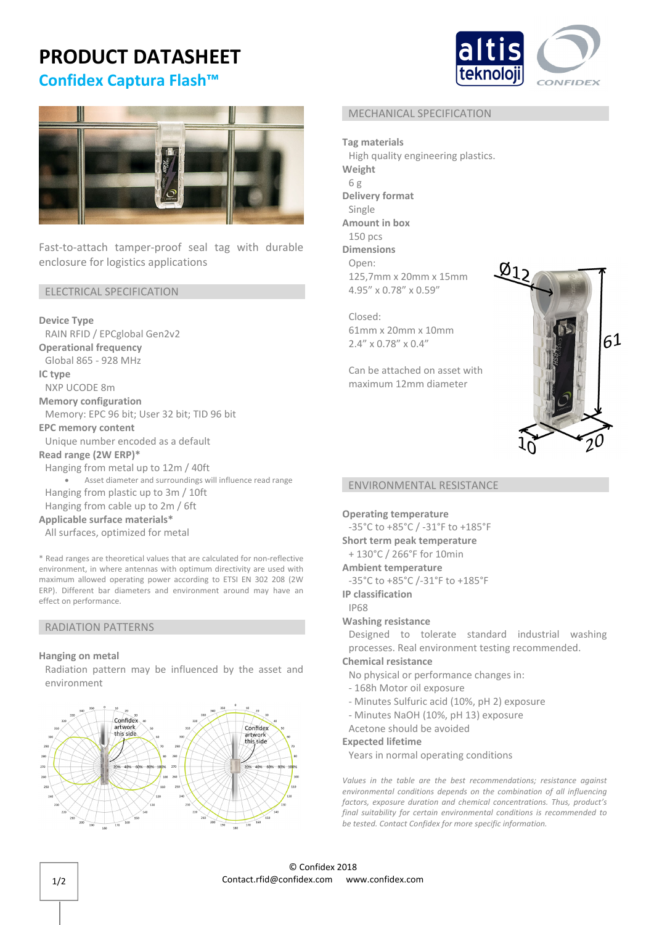# **PRODUCT DATASHEET**

# **Confidex Captura Flash™**





Fast-to-attach tamper-proof seal tag with durable enclosure for logistics applications

#### ELECTRICAL SPECIFICATION

**Device Type** RAIN RFID / EPCglobal Gen2v2 **Operational frequency**

Global 865 ‐ 928 MHz

**IC type** 

NXP UCODE 8m

**Memory configuration** 

Memory: EPC 96 bit; User 32 bit; TID 96 bit

**EPC memory content**

Unique number encoded as a default

**Read range (2W ERP)\***

Hanging from metal up to 12m / 40ft Asset diameter and surroundings will influence read range Hanging from plastic up to 3m / 10ft Hanging from cable up to 2m / 6ft

## **Applicable surface materials\***

All surfaces, optimized for metal

\* Read ranges are theoretical values that are calculated for non‐reflective environment, in where antennas with optimum directivity are used with maximum allowed operating power according to ETSI EN 302 208 (2W ERP). Different bar diameters and environment around may have an effect on performance.

#### RADIATION PATTERNS

#### **Hanging on metal**

Radiation pattern may be influenced by the asset and environment



#### MECHANICAL SPECIFICATION

**Tag materials** High quality engineering plastics. **Weight** 6 g **Delivery format** Single **Amount in box** 150 pcs **Dimensions** Open: 125,7mm x 20mm x 15mm 4.95" x 0.78" x 0.59"

Closed: 61mm x 20mm x 10mm 2.4" x 0.78" x 0.4"

Can be attached on asset with maximum 12mm diameter



#### ENVIRONMENTAL RESISTANCE

**Operating temperature**

‐35°C to +85°C / ‐31°F to +185°F **Short term peak temperature**

+ 130°C / 266°F for 10min

**Ambient temperature**

‐35°C to +85°C /‐31°F to +185°F

**IP classification**

IP68

#### **Washing resistance**

Designed to tolerate standard industrial washing processes. Real environment testing recommended.

# **Chemical resistance**

No physical or performance changes in:

- ‐ 168h Motor oil exposure
- ‐ Minutes Sulfuric acid (10%, pH 2) exposure
- ‐ Minutes NaOH (10%, pH 13) exposure
- Acetone should be avoided

#### **Expected lifetime**

Years in normal operating conditions

*Values in the table are the best recommendations; resistance against environmental conditions depends on the combination of all influencing factors, exposure duration and chemical concentrations. Thus, product's final suitability for certain environmental conditions is recommended to be tested. Contact Confidex for more specific information.*